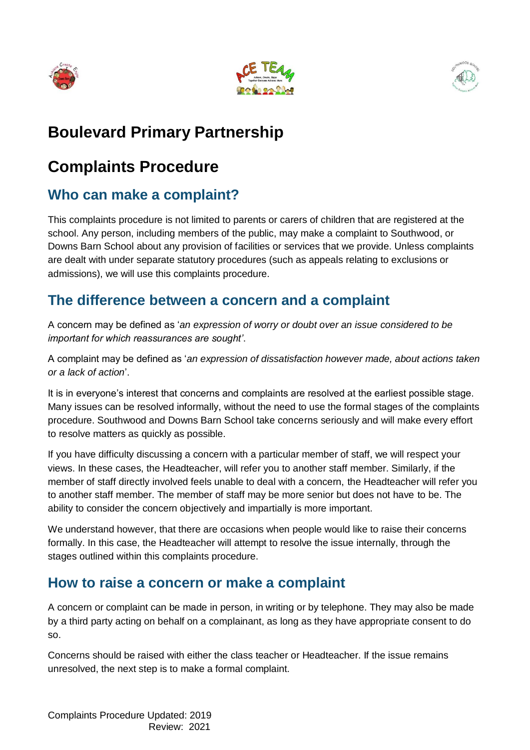





# **Boulevard Primary Partnership**

# **Complaints Procedure**

## **Who can make a complaint?**

This complaints procedure is not limited to parents or carers of children that are registered at the school. Any person, including members of the public, may make a complaint to Southwood, or Downs Barn School about any provision of facilities or services that we provide. Unless complaints are dealt with under separate statutory procedures (such as appeals relating to exclusions or admissions), we will use this complaints procedure.

### **The difference between a concern and a complaint**

A concern may be defined as '*an expression of worry or doubt over an issue considered to be important for which reassurances are sought'*.

A complaint may be defined as '*an expression of dissatisfaction however made, about actions taken or a lack of action*'.

It is in everyone's interest that concerns and complaints are resolved at the earliest possible stage. Many issues can be resolved informally, without the need to use the formal stages of the complaints procedure. Southwood and Downs Barn School take concerns seriously and will make every effort to resolve matters as quickly as possible.

If you have difficulty discussing a concern with a particular member of staff, we will respect your views. In these cases, the Headteacher, will refer you to another staff member. Similarly, if the member of staff directly involved feels unable to deal with a concern, the Headteacher will refer you to another staff member. The member of staff may be more senior but does not have to be. The ability to consider the concern objectively and impartially is more important.

We understand however, that there are occasions when people would like to raise their concerns formally. In this case, the Headteacher will attempt to resolve the issue internally, through the stages outlined within this complaints procedure.

#### **How to raise a concern or make a complaint**

A concern or complaint can be made in person, in writing or by telephone. They may also be made by a third party acting on behalf on a complainant, as long as they have appropriate consent to do so.

Concerns should be raised with either the class teacher or Headteacher. If the issue remains unresolved, the next step is to make a formal complaint.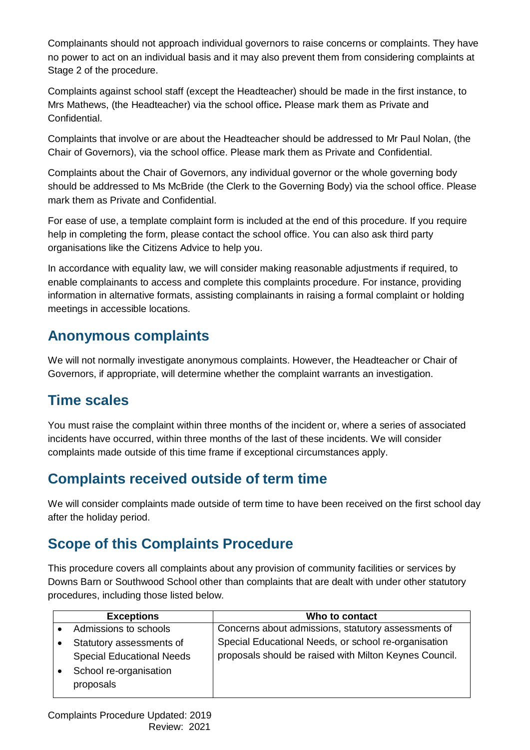Complainants should not approach individual governors to raise concerns or complaints. They have no power to act on an individual basis and it may also prevent them from considering complaints at Stage 2 of the procedure.

Complaints against school staff (except the Headteacher) should be made in the first instance, to Mrs Mathews, (the Headteacher) via the school office*.* Please mark them as Private and Confidential.

Complaints that involve or are about the Headteacher should be addressed to Mr Paul Nolan, (the Chair of Governors), via the school office. Please mark them as Private and Confidential.

Complaints about the Chair of Governors, any individual governor or the whole governing body should be addressed to Ms McBride (the Clerk to the Governing Body) via the school office. Please mark them as Private and Confidential.

For ease of use, a template complaint form is included at the end of this procedure. If you require help in completing the form, please contact the school office. You can also ask third party organisations like the Citizens Advice to help you.

In accordance with equality law, we will consider making reasonable adjustments if required, to enable complainants to access and complete this complaints procedure. For instance, providing information in alternative formats, assisting complainants in raising a formal complaint or holding meetings in accessible locations.

### **Anonymous complaints**

We will not normally investigate anonymous complaints. However, the Headteacher or Chair of Governors, if appropriate, will determine whether the complaint warrants an investigation.

## **Time scales**

You must raise the complaint within three months of the incident or, where a series of associated incidents have occurred, within three months of the last of these incidents. We will consider complaints made outside of this time frame if exceptional circumstances apply.

## **Complaints received outside of term time**

We will consider complaints made outside of term time to have been received on the first school day after the holiday period.

## **Scope of this Complaints Procedure**

This procedure covers all complaints about any provision of community facilities or services by Downs Barn or Southwood School other than complaints that are dealt with under other statutory procedures, including those listed below.

| <b>Exceptions</b>                                            | Who to contact                                                                                                 |
|--------------------------------------------------------------|----------------------------------------------------------------------------------------------------------------|
| Admissions to schools                                        | Concerns about admissions, statutory assessments of                                                            |
| Statutory assessments of<br><b>Special Educational Needs</b> | Special Educational Needs, or school re-organisation<br>proposals should be raised with Milton Keynes Council. |
| School re-organisation<br>proposals                          |                                                                                                                |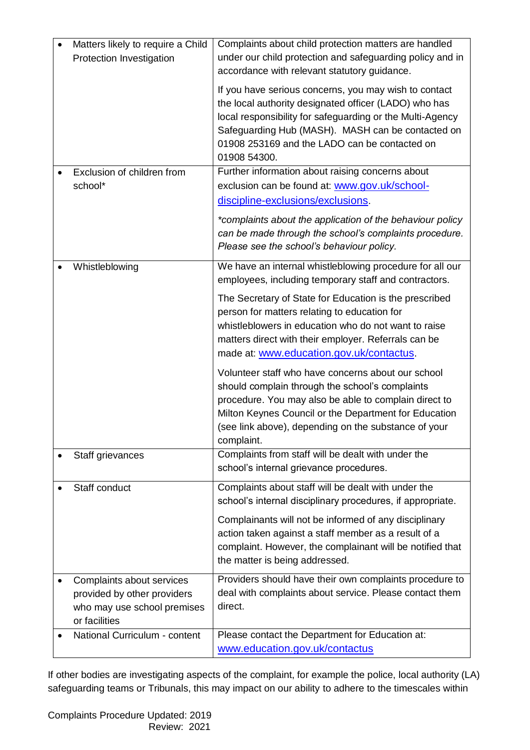| Matters likely to require a Child<br>Protection Investigation                                            | Complaints about child protection matters are handled<br>under our child protection and safeguarding policy and in<br>accordance with relevant statutory guidance.                                                                                                                                |
|----------------------------------------------------------------------------------------------------------|---------------------------------------------------------------------------------------------------------------------------------------------------------------------------------------------------------------------------------------------------------------------------------------------------|
|                                                                                                          | If you have serious concerns, you may wish to contact<br>the local authority designated officer (LADO) who has<br>local responsibility for safeguarding or the Multi-Agency<br>Safeguarding Hub (MASH). MASH can be contacted on<br>01908 253169 and the LADO can be contacted on<br>01908 54300. |
| Exclusion of children from                                                                               | Further information about raising concerns about                                                                                                                                                                                                                                                  |
| school*                                                                                                  | exclusion can be found at: www.gov.uk/school-                                                                                                                                                                                                                                                     |
|                                                                                                          | discipline-exclusions/exclusions.                                                                                                                                                                                                                                                                 |
|                                                                                                          | *complaints about the application of the behaviour policy<br>can be made through the school's complaints procedure.<br>Please see the school's behaviour policy.                                                                                                                                  |
| Whistleblowing                                                                                           | We have an internal whistleblowing procedure for all our<br>employees, including temporary staff and contractors.                                                                                                                                                                                 |
|                                                                                                          | The Secretary of State for Education is the prescribed<br>person for matters relating to education for<br>whistleblowers in education who do not want to raise<br>matters direct with their employer. Referrals can be<br>made at: www.education.gov.uk/contactus.                                |
|                                                                                                          | Volunteer staff who have concerns about our school<br>should complain through the school's complaints<br>procedure. You may also be able to complain direct to<br>Milton Keynes Council or the Department for Education<br>(see link above), depending on the substance of your<br>complaint.     |
| Staff grievances                                                                                         | Complaints from staff will be dealt with under the<br>school's internal grievance procedures.                                                                                                                                                                                                     |
| Staff conduct                                                                                            | Complaints about staff will be dealt with under the<br>school's internal disciplinary procedures, if appropriate.                                                                                                                                                                                 |
|                                                                                                          | Complainants will not be informed of any disciplinary<br>action taken against a staff member as a result of a<br>complaint. However, the complainant will be notified that<br>the matter is being addressed.                                                                                      |
| Complaints about services<br>provided by other providers<br>who may use school premises<br>or facilities | Providers should have their own complaints procedure to<br>deal with complaints about service. Please contact them<br>direct.                                                                                                                                                                     |
| National Curriculum - content                                                                            | Please contact the Department for Education at:<br>www.education.gov.uk/contactus                                                                                                                                                                                                                 |

If other bodies are investigating aspects of the complaint, for example the police, local authority (LA) safeguarding teams or Tribunals, this may impact on our ability to adhere to the timescales within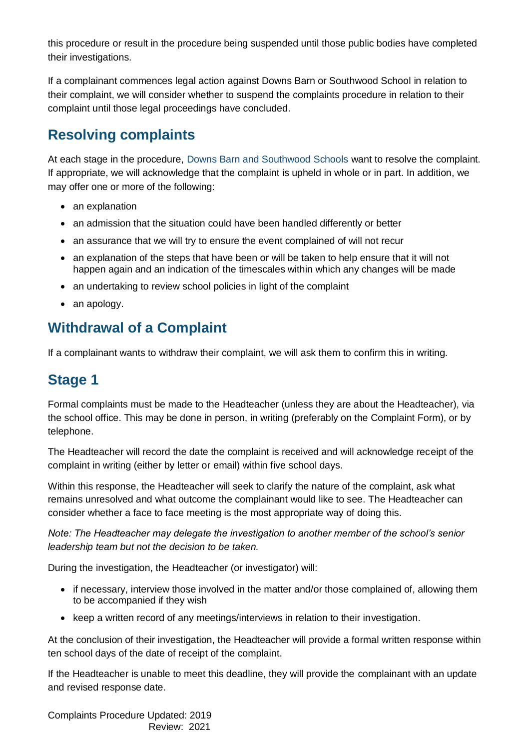this procedure or result in the procedure being suspended until those public bodies have completed their investigations.

If a complainant commences legal action against Downs Barn or Southwood School in relation to their complaint, we will consider whether to suspend the complaints procedure in relation to their complaint until those legal proceedings have concluded.

## **Resolving complaints**

At each stage in the procedure, Downs Barn and Southwood Schools want to resolve the complaint. If appropriate, we will acknowledge that the complaint is upheld in whole or in part. In addition, we may offer one or more of the following:

- an explanation
- an admission that the situation could have been handled differently or better
- an assurance that we will try to ensure the event complained of will not recur
- an explanation of the steps that have been or will be taken to help ensure that it will not happen again and an indication of the timescales within which any changes will be made
- an undertaking to review school policies in light of the complaint
- an apology.

### **Withdrawal of a Complaint**

If a complainant wants to withdraw their complaint, we will ask them to confirm this in writing.

## **Stage 1**

Formal complaints must be made to the Headteacher (unless they are about the Headteacher), via the school office. This may be done in person, in writing (preferably on the Complaint Form), or by telephone.

The Headteacher will record the date the complaint is received and will acknowledge receipt of the complaint in writing (either by letter or email) within five school days.

Within this response, the Headteacher will seek to clarify the nature of the complaint, ask what remains unresolved and what outcome the complainant would like to see. The Headteacher can consider whether a face to face meeting is the most appropriate way of doing this.

*Note: The Headteacher may delegate the investigation to another member of the school's senior leadership team but not the decision to be taken.*

During the investigation, the Headteacher (or investigator) will:

- if necessary, interview those involved in the matter and/or those complained of, allowing them to be accompanied if they wish
- keep a written record of any meetings/interviews in relation to their investigation.

At the conclusion of their investigation, the Headteacher will provide a formal written response within ten school days of the date of receipt of the complaint.

If the Headteacher is unable to meet this deadline, they will provide the complainant with an update and revised response date.

Complaints Procedure Updated: 2019 Review: 2021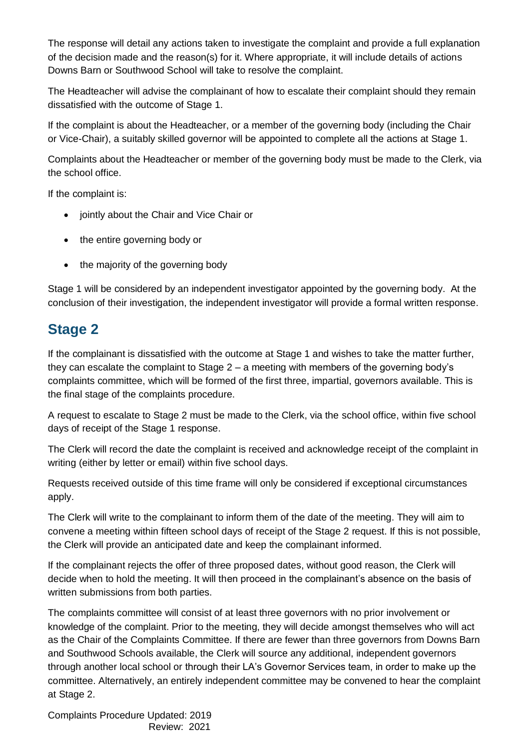The response will detail any actions taken to investigate the complaint and provide a full explanation of the decision made and the reason(s) for it. Where appropriate, it will include details of actions Downs Barn or Southwood School will take to resolve the complaint.

The Headteacher will advise the complainant of how to escalate their complaint should they remain dissatisfied with the outcome of Stage 1.

If the complaint is about the Headteacher, or a member of the governing body (including the Chair or Vice-Chair), a suitably skilled governor will be appointed to complete all the actions at Stage 1.

Complaints about the Headteacher or member of the governing body must be made to the Clerk, via the school office.

If the complaint is:

- jointly about the Chair and Vice Chair or
- the entire governing body or
- the majority of the governing body

Stage 1 will be considered by an independent investigator appointed by the governing body. At the conclusion of their investigation, the independent investigator will provide a formal written response.

### **Stage 2**

If the complainant is dissatisfied with the outcome at Stage 1 and wishes to take the matter further, they can escalate the complaint to Stage 2 – a meeting with members of the governing body's complaints committee, which will be formed of the first three, impartial, governors available. This is the final stage of the complaints procedure.

A request to escalate to Stage 2 must be made to the Clerk, via the school office, within five school days of receipt of the Stage 1 response.

The Clerk will record the date the complaint is received and acknowledge receipt of the complaint in writing (either by letter or email) within five school days.

Requests received outside of this time frame will only be considered if exceptional circumstances apply.

The Clerk will write to the complainant to inform them of the date of the meeting. They will aim to convene a meeting within fifteen school days of receipt of the Stage 2 request. If this is not possible, the Clerk will provide an anticipated date and keep the complainant informed.

If the complainant rejects the offer of three proposed dates, without good reason, the Clerk will decide when to hold the meeting. It will then proceed in the complainant's absence on the basis of written submissions from both parties.

The complaints committee will consist of at least three governors with no prior involvement or knowledge of the complaint. Prior to the meeting, they will decide amongst themselves who will act as the Chair of the Complaints Committee. If there are fewer than three governors from Downs Barn and Southwood Schools available, the Clerk will source any additional, independent governors through another local school or through their LA's Governor Services team, in order to make up the committee. Alternatively, an entirely independent committee may be convened to hear the complaint at Stage 2.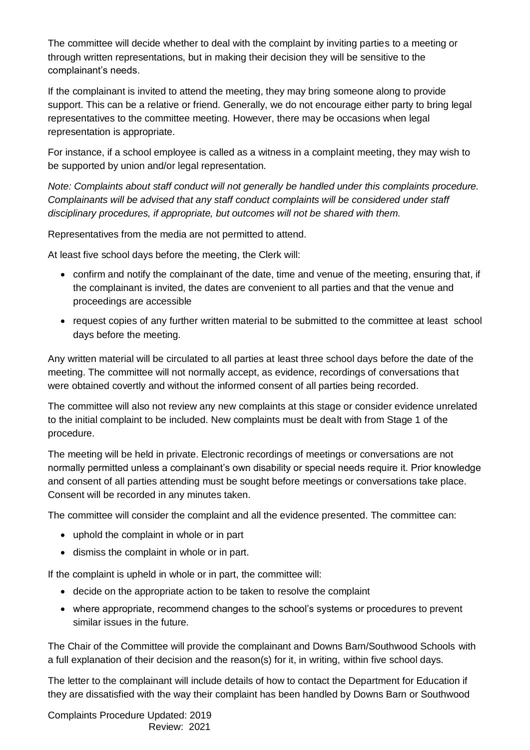The committee will decide whether to deal with the complaint by inviting parties to a meeting or through written representations, but in making their decision they will be sensitive to the complainant's needs.

If the complainant is invited to attend the meeting, they may bring someone along to provide support. This can be a relative or friend. Generally, we do not encourage either party to bring legal representatives to the committee meeting. However, there may be occasions when legal representation is appropriate.

For instance, if a school employee is called as a witness in a complaint meeting, they may wish to be supported by union and/or legal representation.

*Note: Complaints about staff conduct will not generally be handled under this complaints procedure. Complainants will be advised that any staff conduct complaints will be considered under staff disciplinary procedures, if appropriate, but outcomes will not be shared with them.* 

Representatives from the media are not permitted to attend.

At least five school days before the meeting, the Clerk will:

- confirm and notify the complainant of the date, time and venue of the meeting, ensuring that, if the complainant is invited, the dates are convenient to all parties and that the venue and proceedings are accessible
- request copies of any further written material to be submitted to the committee at least school days before the meeting.

Any written material will be circulated to all parties at least three school days before the date of the meeting. The committee will not normally accept, as evidence, recordings of conversations that were obtained covertly and without the informed consent of all parties being recorded.

The committee will also not review any new complaints at this stage or consider evidence unrelated to the initial complaint to be included. New complaints must be dealt with from Stage 1 of the procedure.

The meeting will be held in private. Electronic recordings of meetings or conversations are not normally permitted unless a complainant's own disability or special needs require it. Prior knowledge and consent of all parties attending must be sought before meetings or conversations take place. Consent will be recorded in any minutes taken.

The committee will consider the complaint and all the evidence presented. The committee can:

- uphold the complaint in whole or in part
- dismiss the complaint in whole or in part.

If the complaint is upheld in whole or in part, the committee will:

- decide on the appropriate action to be taken to resolve the complaint
- where appropriate, recommend changes to the school's systems or procedures to prevent similar issues in the future.

The Chair of the Committee will provide the complainant and Downs Barn/Southwood Schools with a full explanation of their decision and the reason(s) for it, in writing, within five school days.

The letter to the complainant will include details of how to contact the Department for Education if they are dissatisfied with the way their complaint has been handled by Downs Barn or Southwood

Complaints Procedure Updated: 2019 Review: 2021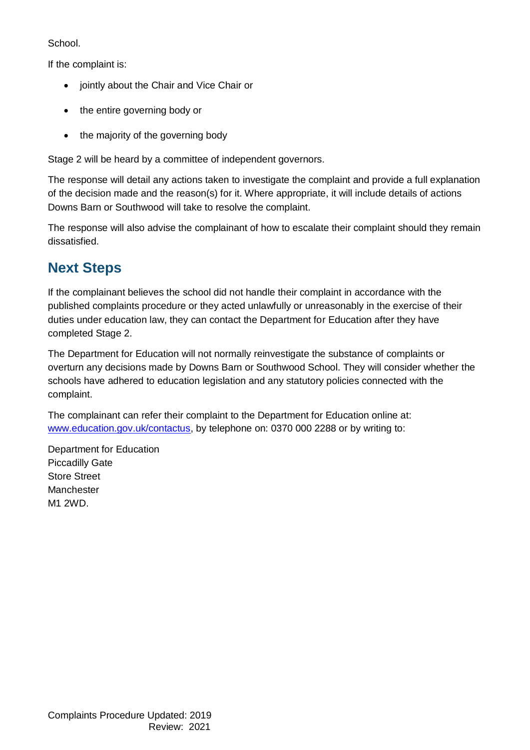School.

If the complaint is:

- jointly about the Chair and Vice Chair or
- the entire governing body or
- the majority of the governing body

Stage 2 will be heard by a committee of independent governors.

The response will detail any actions taken to investigate the complaint and provide a full explanation of the decision made and the reason(s) for it. Where appropriate, it will include details of actions Downs Barn or Southwood will take to resolve the complaint.

The response will also advise the complainant of how to escalate their complaint should they remain dissatisfied.

## **Next Steps**

If the complainant believes the school did not handle their complaint in accordance with the published complaints procedure or they acted unlawfully or unreasonably in the exercise of their duties under education law, they can contact the Department for Education after they have completed Stage 2.

The Department for Education will not normally reinvestigate the substance of complaints or overturn any decisions made by Downs Barn or Southwood School. They will consider whether the schools have adhered to education legislation and any statutory policies connected with the complaint.

The complainant can refer their complaint to the Department for Education online at: [www.education.gov.uk/contactus,](http://www.education.gov.uk/contactus) by telephone on: 0370 000 2288 or by writing to:

Department for Education Piccadilly Gate Store Street Manchester M1 2WD.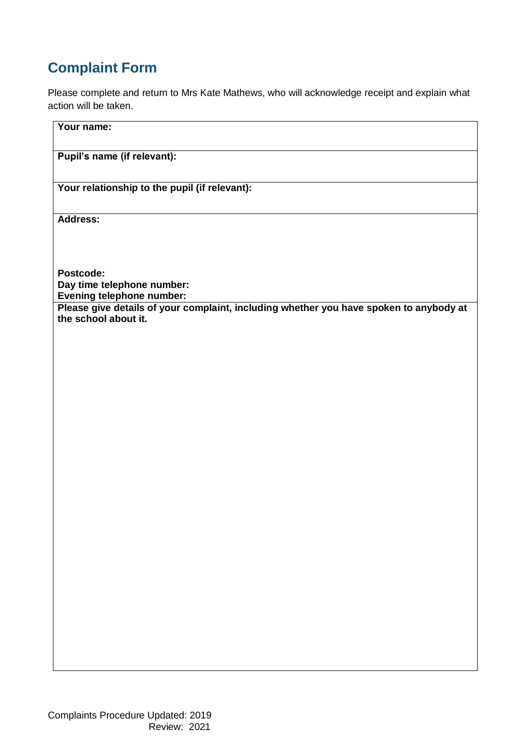## **Complaint Form**

Please complete and return to Mrs Kate Mathews, who will acknowledge receipt and explain what action will be taken.

| Your name:                                                                                                                                                     |
|----------------------------------------------------------------------------------------------------------------------------------------------------------------|
| Pupil's name (if relevant):                                                                                                                                    |
| Your relationship to the pupil (if relevant):                                                                                                                  |
| Address:                                                                                                                                                       |
|                                                                                                                                                                |
| Postcode:<br>Day time telephone number:<br>Evening telephone number:<br>Please give details of your complaint, including whether you have spoken to anybody at |
| the school about it.                                                                                                                                           |
|                                                                                                                                                                |
|                                                                                                                                                                |
|                                                                                                                                                                |
|                                                                                                                                                                |
|                                                                                                                                                                |
|                                                                                                                                                                |
|                                                                                                                                                                |
|                                                                                                                                                                |
|                                                                                                                                                                |
|                                                                                                                                                                |
|                                                                                                                                                                |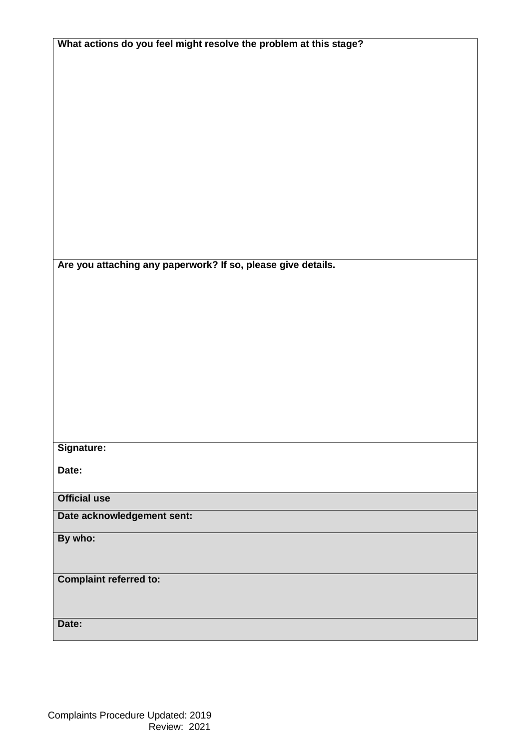| What actions do you feel might resolve the problem at this stage? |  |  |
|-------------------------------------------------------------------|--|--|
|                                                                   |  |  |
|                                                                   |  |  |
|                                                                   |  |  |
|                                                                   |  |  |
|                                                                   |  |  |
|                                                                   |  |  |
|                                                                   |  |  |
|                                                                   |  |  |
|                                                                   |  |  |
|                                                                   |  |  |
|                                                                   |  |  |
|                                                                   |  |  |
|                                                                   |  |  |
|                                                                   |  |  |
|                                                                   |  |  |
| Are you attaching any paperwork? If so, please give details.      |  |  |
|                                                                   |  |  |
|                                                                   |  |  |
|                                                                   |  |  |
|                                                                   |  |  |
|                                                                   |  |  |
|                                                                   |  |  |
|                                                                   |  |  |
|                                                                   |  |  |
|                                                                   |  |  |
|                                                                   |  |  |
|                                                                   |  |  |
|                                                                   |  |  |
| Signature:                                                        |  |  |
|                                                                   |  |  |
| Date:                                                             |  |  |
| <b>Official use</b>                                               |  |  |
|                                                                   |  |  |
| Date acknowledgement sent:                                        |  |  |
| By who:                                                           |  |  |
|                                                                   |  |  |
|                                                                   |  |  |
| <b>Complaint referred to:</b>                                     |  |  |
|                                                                   |  |  |
|                                                                   |  |  |
|                                                                   |  |  |
| Date:                                                             |  |  |
|                                                                   |  |  |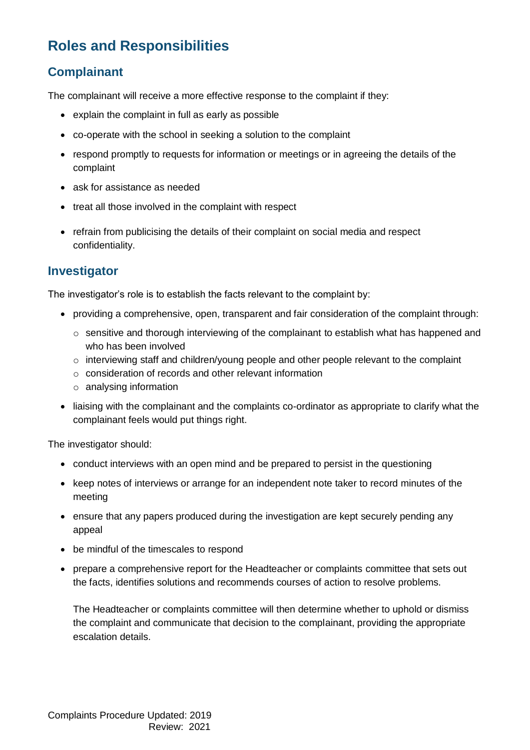## **Roles and Responsibilities**

#### **Complainant**

The complainant will receive a more effective response to the complaint if they:

- explain the complaint in full as early as possible
- co-operate with the school in seeking a solution to the complaint
- respond promptly to requests for information or meetings or in agreeing the details of the complaint
- ask for assistance as needed
- treat all those involved in the complaint with respect
- refrain from publicising the details of their complaint on social media and respect confidentiality.

#### **Investigator**

The investigator's role is to establish the facts relevant to the complaint by:

- providing a comprehensive, open, transparent and fair consideration of the complaint through:
	- $\circ$  sensitive and thorough interviewing of the complainant to establish what has happened and who has been involved
	- o interviewing staff and children/young people and other people relevant to the complaint
	- o consideration of records and other relevant information
	- o analysing information
- liaising with the complainant and the complaints co-ordinator as appropriate to clarify what the complainant feels would put things right.

The investigator should:

- conduct interviews with an open mind and be prepared to persist in the questioning
- keep notes of interviews or arrange for an independent note taker to record minutes of the meeting
- ensure that any papers produced during the investigation are kept securely pending any appeal
- be mindful of the timescales to respond
- prepare a comprehensive report for the Headteacher or complaints committee that sets out the facts, identifies solutions and recommends courses of action to resolve problems.

The Headteacher or complaints committee will then determine whether to uphold or dismiss the complaint and communicate that decision to the complainant, providing the appropriate escalation details.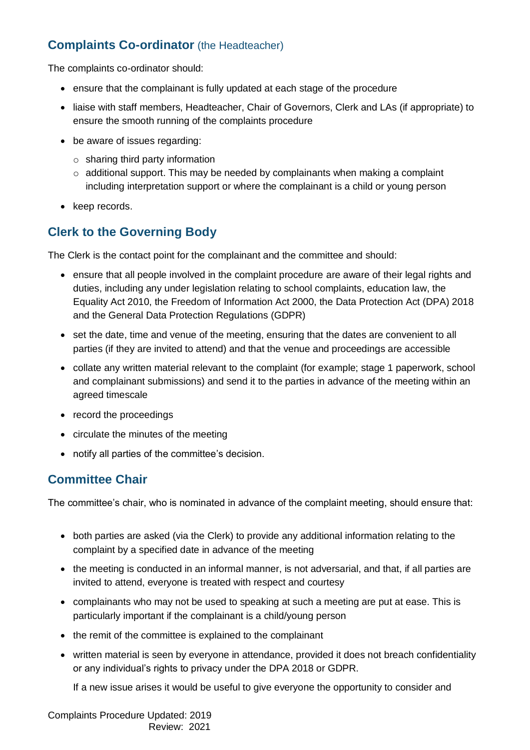#### **Complaints Co-ordinator** (the Headteacher)

The complaints co-ordinator should:

- ensure that the complainant is fully updated at each stage of the procedure
- liaise with staff members, Headteacher, Chair of Governors, Clerk and LAs (if appropriate) to ensure the smooth running of the complaints procedure
- be aware of issues regarding:
	- $\circ$  sharing third party information
	- $\circ$  additional support. This may be needed by complainants when making a complaint including interpretation support or where the complainant is a child or young person
- keep records.

#### **Clerk to the Governing Body**

The Clerk is the contact point for the complainant and the committee and should:

- ensure that all people involved in the complaint procedure are aware of their legal rights and duties, including any under legislation relating to school complaints, education law, the Equality Act 2010, the Freedom of Information Act 2000, the Data Protection Act (DPA) 2018 and the General Data Protection Regulations (GDPR)
- set the date, time and venue of the meeting, ensuring that the dates are convenient to all parties (if they are invited to attend) and that the venue and proceedings are accessible
- collate any written material relevant to the complaint (for example; stage 1 paperwork, school and complainant submissions) and send it to the parties in advance of the meeting within an agreed timescale
- record the proceedings
- circulate the minutes of the meeting
- notify all parties of the committee's decision.

#### **Committee Chair**

The committee's chair, who is nominated in advance of the complaint meeting, should ensure that:

- both parties are asked (via the Clerk) to provide any additional information relating to the complaint by a specified date in advance of the meeting
- the meeting is conducted in an informal manner, is not adversarial, and that, if all parties are invited to attend, everyone is treated with respect and courtesy
- complainants who may not be used to speaking at such a meeting are put at ease. This is particularly important if the complainant is a child/young person
- the remit of the committee is explained to the complainant
- written material is seen by everyone in attendance, provided it does not breach confidentiality or any individual's rights to privacy under the DPA 2018 or GDPR.

If a new issue arises it would be useful to give everyone the opportunity to consider and